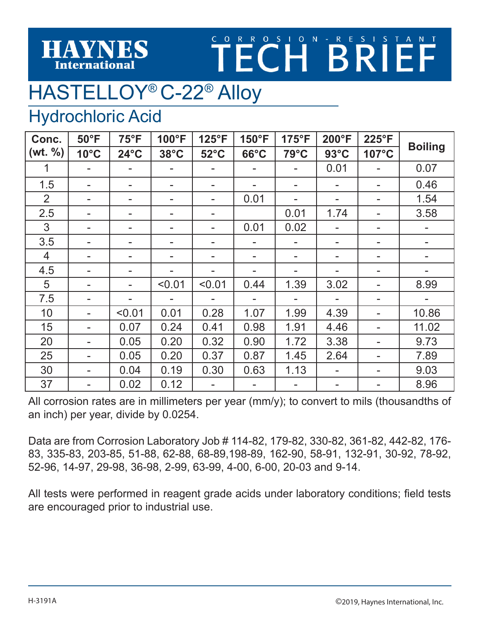## TECH BRIEF

## HASTELLOY® C-22® Alloy

## Hydrochloric Acid

**HAYNES** 

**International** 

| Conc.          | $50^{\circ}$ F | $75^{\circ}F$  | 100°F          | 125°F                    | 150°F          | 175°F | 200°F          | 225°F | <b>Boiling</b> |
|----------------|----------------|----------------|----------------|--------------------------|----------------|-------|----------------|-------|----------------|
| (wt. % )       | $10^{\circ}$ C | $24^{\circ}$ C | $38^{\circ}$ C | $52^{\circ}$ C           | $66^{\circ}$ C | 79°C  | $93^{\circ}$ C | 107°C |                |
| $\mathbf 1$    |                |                |                |                          |                |       | 0.01           |       | 0.07           |
| 1.5            |                |                |                |                          |                | -     |                |       | 0.46           |
| $\overline{2}$ |                |                |                |                          | 0.01           |       |                |       | 1.54           |
| 2.5            |                |                |                |                          |                | 0.01  | 1.74           |       | 3.58           |
| 3              |                |                |                |                          | 0.01           | 0.02  |                |       |                |
| 3.5            |                |                |                |                          |                |       |                |       |                |
| $\overline{4}$ | -              | ۰              |                | $\overline{\phantom{a}}$ |                | -     |                | -     |                |
| 4.5            |                |                |                |                          |                |       |                | -     |                |
| 5              | -              | $\blacksquare$ | < 0.01         | < 0.01                   | 0.44           | 1.39  | 3.02           | ۰     | 8.99           |
| 7.5            |                |                |                |                          |                |       |                |       |                |
| 10             |                | < 0.01         | 0.01           | 0.28                     | 1.07           | 1.99  | 4.39           |       | 10.86          |
| 15             |                | 0.07           | 0.24           | 0.41                     | 0.98           | 1.91  | 4.46           |       | 11.02          |
| 20             |                | 0.05           | 0.20           | 0.32                     | 0.90           | 1.72  | 3.38           |       | 9.73           |
| 25             |                | 0.05           | 0.20           | 0.37                     | 0.87           | 1.45  | 2.64           |       | 7.89           |
| 30             |                | 0.04           | 0.19           | 0.30                     | 0.63           | 1.13  |                | -     | 9.03           |
| 37             |                | 0.02           | 0.12           |                          |                |       |                |       | 8.96           |

All corrosion rates are in millimeters per year (mm/y); to convert to mils (thousandths of an inch) per year, divide by 0.0254.

Data are from Corrosion Laboratory Job # 114-82, 179-82, 330-82, 361-82, 442-82, 176- 83, 335-83, 203-85, 51-88, 62-88, 68-89,198-89, 162-90, 58-91, 132-91, 30-92, 78-92, 52-96, 14-97, 29-98, 36-98, 2-99, 63-99, 4-00, 6-00, 20-03 and 9-14.

All tests were performed in reagent grade acids under laboratory conditions; field tests are encouraged prior to industrial use.